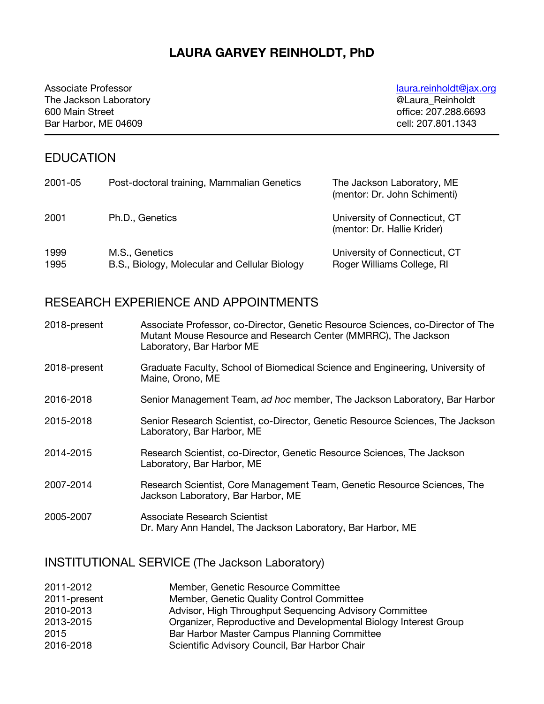# **LAURA GARVEY REINHOLDT, PhD**

Associate Professor and a settlement of the settlement of the laura.reinholdt@jax.org The Jackson Laboratory **Was also assumed a contract of the Jackson Laboratory Contract of the United States Contract of the United States and Australian Contract of the United States and Australian Contract of the Unit** 600 Main Street **office:** 207.288.6693 Bar Harbor, ME 04609 cell: 207.801.1343

# EDUCATION

| 2001-05      | Post-doctoral training, Mammalian Genetics                      | The Jackson Laboratory, ME<br>(mentor: Dr. John Schimenti)   |
|--------------|-----------------------------------------------------------------|--------------------------------------------------------------|
| 2001         | Ph.D., Genetics                                                 | University of Connecticut, CT<br>(mentor: Dr. Hallie Krider) |
| 1999<br>1995 | M.S., Genetics<br>B.S., Biology, Molecular and Cellular Biology | University of Connecticut, CT<br>Roger Williams College, RI  |

## RESEARCH EXPERIENCE AND APPOINTMENTS

| 2018-present | Associate Professor, co-Director, Genetic Resource Sciences, co-Director of The<br>Mutant Mouse Resource and Research Center (MMRRC), The Jackson<br>Laboratory, Bar Harbor ME |
|--------------|--------------------------------------------------------------------------------------------------------------------------------------------------------------------------------|
| 2018-present | Graduate Faculty, School of Biomedical Science and Engineering, University of<br>Maine, Orono, ME                                                                              |
| 2016-2018    | Senior Management Team, ad hoc member, The Jackson Laboratory, Bar Harbor                                                                                                      |
| 2015-2018    | Senior Research Scientist, co-Director, Genetic Resource Sciences, The Jackson<br>Laboratory, Bar Harbor, ME                                                                   |
| 2014-2015    | Research Scientist, co-Director, Genetic Resource Sciences, The Jackson<br>Laboratory, Bar Harbor, ME                                                                          |
| 2007-2014    | Research Scientist, Core Management Team, Genetic Resource Sciences, The<br>Jackson Laboratory, Bar Harbor, ME                                                                 |
| 2005-2007    | Associate Research Scientist<br>Dr. Mary Ann Handel, The Jackson Laboratory, Bar Harbor, ME                                                                                    |

# INSTITUTIONAL SERVICE (The Jackson Laboratory)

| 2011-2012    | Member, Genetic Resource Committee                               |
|--------------|------------------------------------------------------------------|
| 2011-present | Member, Genetic Quality Control Committee                        |
| 2010-2013    | Advisor, High Throughput Sequencing Advisory Committee           |
| 2013-2015    | Organizer, Reproductive and Developmental Biology Interest Group |
| 2015         | Bar Harbor Master Campus Planning Committee                      |
| 2016-2018    | Scientific Advisory Council, Bar Harbor Chair                    |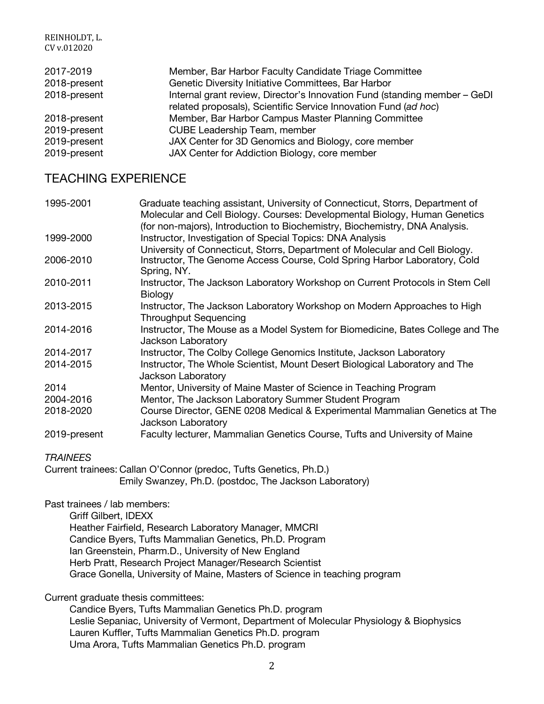| 2017-2019    | Member, Bar Harbor Faculty Candidate Triage Committee                     |
|--------------|---------------------------------------------------------------------------|
| 2018-present | Genetic Diversity Initiative Committees, Bar Harbor                       |
| 2018-present | Internal grant review, Director's Innovation Fund (standing member - GeDI |
|              | related proposals), Scientific Service Innovation Fund (ad hoc)           |
| 2018-present | Member, Bar Harbor Campus Master Planning Committee                       |
| 2019-present | <b>CUBE Leadership Team, member</b>                                       |
| 2019-present | JAX Center for 3D Genomics and Biology, core member                       |
| 2019-present | JAX Center for Addiction Biology, core member                             |

### TEACHING EXPERIENCE

| 1995-2001    | Graduate teaching assistant, University of Connecticut, Storrs, Department of<br>Molecular and Cell Biology. Courses: Developmental Biology, Human Genetics |
|--------------|-------------------------------------------------------------------------------------------------------------------------------------------------------------|
|              | (for non-majors), Introduction to Biochemistry, Biochemistry, DNA Analysis.                                                                                 |
| 1999-2000    | Instructor, Investigation of Special Topics: DNA Analysis                                                                                                   |
|              | University of Connecticut, Storrs, Department of Molecular and Cell Biology.                                                                                |
| 2006-2010    | Instructor, The Genome Access Course, Cold Spring Harbor Laboratory, Cold<br>Spring, NY.                                                                    |
| 2010-2011    | Instructor, The Jackson Laboratory Workshop on Current Protocols in Stem Cell                                                                               |
|              | Biology                                                                                                                                                     |
| 2013-2015    | Instructor, The Jackson Laboratory Workshop on Modern Approaches to High                                                                                    |
|              | <b>Throughput Sequencing</b>                                                                                                                                |
| 2014-2016    | Instructor, The Mouse as a Model System for Biomedicine, Bates College and The                                                                              |
|              | Jackson Laboratory                                                                                                                                          |
| 2014-2017    | Instructor, The Colby College Genomics Institute, Jackson Laboratory                                                                                        |
| 2014-2015    | Instructor, The Whole Scientist, Mount Desert Biological Laboratory and The                                                                                 |
|              | Jackson Laboratory                                                                                                                                          |
| 2014         | Mentor, University of Maine Master of Science in Teaching Program                                                                                           |
| 2004-2016    | Mentor, The Jackson Laboratory Summer Student Program                                                                                                       |
| 2018-2020    | Course Director, GENE 0208 Medical & Experimental Mammalian Genetics at The                                                                                 |
|              | Jackson Laboratory                                                                                                                                          |
| 2019-present | Faculty lecturer, Mammalian Genetics Course, Tufts and University of Maine                                                                                  |

#### *TRAINEES*

Current trainees: Callan O'Connor (predoc, Tufts Genetics, Ph.D.) Emily Swanzey, Ph.D. (postdoc, The Jackson Laboratory)

Past trainees / lab members:

Griff Gilbert, IDEXX Heather Fairfield, Research Laboratory Manager, MMCRI Candice Byers, Tufts Mammalian Genetics, Ph.D. Program Ian Greenstein, Pharm.D., University of New England Herb Pratt, Research Project Manager/Research Scientist Grace Gonella, University of Maine, Masters of Science in teaching program

Current graduate thesis committees:

Candice Byers, Tufts Mammalian Genetics Ph.D. program Leslie Sepaniac, University of Vermont, Department of Molecular Physiology & Biophysics Lauren Kuffler, Tufts Mammalian Genetics Ph.D. program Uma Arora, Tufts Mammalian Genetics Ph.D. program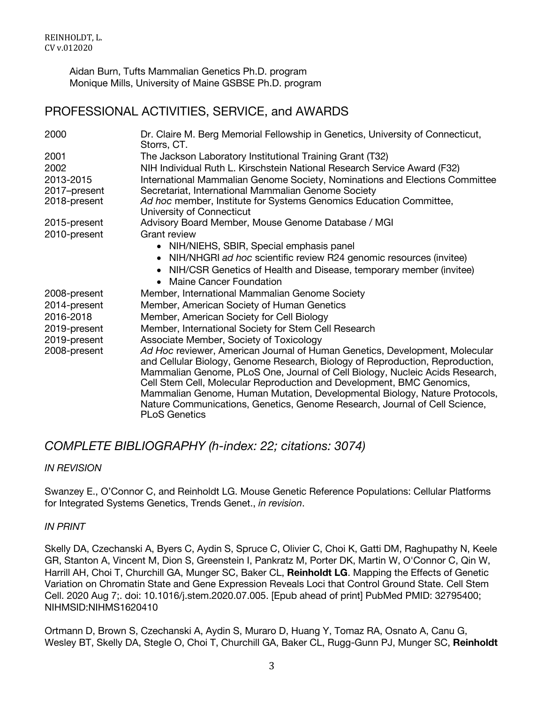Aidan Burn, Tufts Mammalian Genetics Ph.D. program Monique Mills, University of Maine GSBSE Ph.D. program

### PROFESSIONAL ACTIVITIES, SERVICE, and AWARDS

| 2000         | Dr. Claire M. Berg Memorial Fellowship in Genetics, University of Connecticut,<br>Storrs, CT.                                                                                                                                                                                                                                                                                                                                                                                     |  |
|--------------|-----------------------------------------------------------------------------------------------------------------------------------------------------------------------------------------------------------------------------------------------------------------------------------------------------------------------------------------------------------------------------------------------------------------------------------------------------------------------------------|--|
| 2001         | The Jackson Laboratory Institutional Training Grant (T32)                                                                                                                                                                                                                                                                                                                                                                                                                         |  |
| 2002         | NIH Individual Ruth L. Kirschstein National Research Service Award (F32)                                                                                                                                                                                                                                                                                                                                                                                                          |  |
| 2013-2015    | International Mammalian Genome Society, Nominations and Elections Committee                                                                                                                                                                                                                                                                                                                                                                                                       |  |
| 2017-present | Secretariat, International Mammalian Genome Society                                                                                                                                                                                                                                                                                                                                                                                                                               |  |
| 2018-present | Ad hoc member, Institute for Systems Genomics Education Committee,<br>University of Connecticut                                                                                                                                                                                                                                                                                                                                                                                   |  |
| 2015-present | Advisory Board Member, Mouse Genome Database / MGI                                                                                                                                                                                                                                                                                                                                                                                                                                |  |
| 2010-present | Grant review                                                                                                                                                                                                                                                                                                                                                                                                                                                                      |  |
|              | • NIH/NIEHS, SBIR, Special emphasis panel                                                                                                                                                                                                                                                                                                                                                                                                                                         |  |
|              | • NIH/NHGRI ad hoc scientific review R24 genomic resources (invitee)                                                                                                                                                                                                                                                                                                                                                                                                              |  |
|              | NIH/CSR Genetics of Health and Disease, temporary member (invitee)                                                                                                                                                                                                                                                                                                                                                                                                                |  |
|              | Maine Cancer Foundation                                                                                                                                                                                                                                                                                                                                                                                                                                                           |  |
| 2008-present | Member, International Mammalian Genome Society                                                                                                                                                                                                                                                                                                                                                                                                                                    |  |
| 2014-present | Member, American Society of Human Genetics                                                                                                                                                                                                                                                                                                                                                                                                                                        |  |
| 2016-2018    | Member, American Society for Cell Biology                                                                                                                                                                                                                                                                                                                                                                                                                                         |  |
| 2019-present | Member, International Society for Stem Cell Research                                                                                                                                                                                                                                                                                                                                                                                                                              |  |
| 2019-present | Associate Member, Society of Toxicology                                                                                                                                                                                                                                                                                                                                                                                                                                           |  |
| 2008-present | Ad Hoc reviewer, American Journal of Human Genetics, Development, Molecular<br>and Cellular Biology, Genome Research, Biology of Reproduction, Reproduction,<br>Mammalian Genome, PLoS One, Journal of Cell Biology, Nucleic Acids Research,<br>Cell Stem Cell, Molecular Reproduction and Development, BMC Genomics,<br>Mammalian Genome, Human Mutation, Developmental Biology, Nature Protocols,<br>Nature Communications, Genetics, Genome Research, Journal of Cell Science, |  |
|              | <b>PLoS Genetics</b>                                                                                                                                                                                                                                                                                                                                                                                                                                                              |  |

## *COMPLETE BIBLIOGRAPHY (h-index: 22; citations: 3074)*

#### *IN REVISION*

Swanzey E., O'Connor C, and Reinholdt LG. Mouse Genetic Reference Populations: Cellular Platforms for Integrated Systems Genetics, Trends Genet., *in revision*.

#### *IN PRINT*

Skelly DA, Czechanski A, Byers C, Aydin S, Spruce C, Olivier C, Choi K, Gatti DM, Raghupathy N, Keele GR, Stanton A, Vincent M, Dion S, Greenstein I, Pankratz M, Porter DK, Martin W, O'Connor C, Qin W, Harrill AH, Choi T, Churchill GA, Munger SC, Baker CL, **Reinholdt LG**. Mapping the Effects of Genetic Variation on Chromatin State and Gene Expression Reveals Loci that Control Ground State. Cell Stem Cell. 2020 Aug 7;. doi: 10.1016/j.stem.2020.07.005. [Epub ahead of print] PubMed PMID: 32795400; NIHMSID:NIHMS1620410

Ortmann D, Brown S, Czechanski A, Aydin S, Muraro D, Huang Y, Tomaz RA, Osnato A, Canu G, Wesley BT, Skelly DA, Stegle O, Choi T, Churchill GA, Baker CL, Rugg-Gunn PJ, Munger SC, **Reinholdt**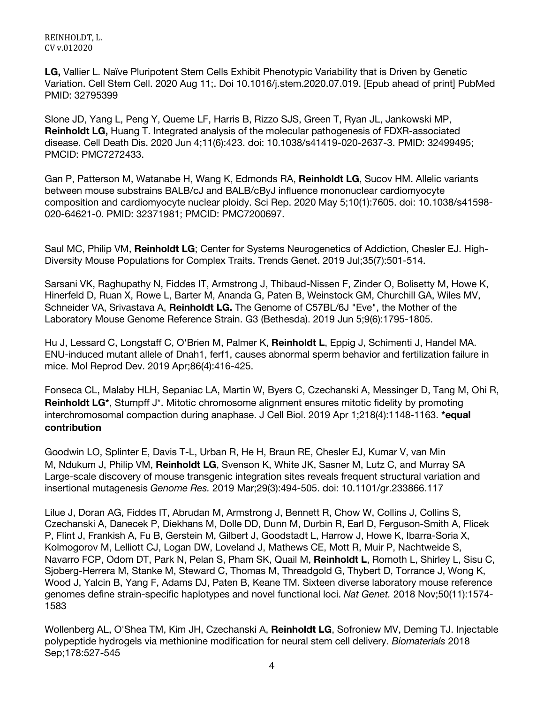**LG,** Vallier L. Naïve Pluripotent Stem Cells Exhibit Phenotypic Variability that is Driven by Genetic Variation. Cell Stem Cell. 2020 Aug 11;. Doi 10.1016/j.stem.2020.07.019. [Epub ahead of print] PubMed PMID: 32795399

Slone JD, Yang L, Peng Y, Queme LF, Harris B, Rizzo SJS, Green T, Ryan JL, Jankowski MP, **Reinholdt LG,** Huang T. Integrated analysis of the molecular pathogenesis of FDXR-associated disease. Cell Death Dis. 2020 Jun 4;11(6):423. doi: 10.1038/s41419-020-2637-3. PMID: 32499495; PMCID: PMC7272433.

Gan P, Patterson M, Watanabe H, Wang K, Edmonds RA, **Reinholdt LG**, Sucov HM. Allelic variants between mouse substrains BALB/cJ and BALB/cByJ influence mononuclear cardiomyocyte composition and cardiomyocyte nuclear ploidy. Sci Rep. 2020 May 5;10(1):7605. doi: 10.1038/s41598- 020-64621-0. PMID: 32371981; PMCID: PMC7200697.

Saul MC, Philip VM, **Reinholdt LG**; Center for Systems Neurogenetics of Addiction, Chesler EJ. High-Diversity Mouse Populations for Complex Traits. Trends Genet. 2019 Jul;35(7):501-514.

Sarsani VK, Raghupathy N, Fiddes IT, Armstrong J, Thibaud-Nissen F, Zinder O, Bolisetty M, Howe K, Hinerfeld D, Ruan X, Rowe L, Barter M, Ananda G, Paten B, Weinstock GM, Churchill GA, Wiles MV, Schneider VA, Srivastava A, **Reinholdt LG.** The Genome of C57BL/6J "Eve", the Mother of the Laboratory Mouse Genome Reference Strain. G3 (Bethesda). 2019 Jun 5;9(6):1795-1805.

Hu J, Lessard C, Longstaff C, O'Brien M, Palmer K, **Reinholdt L**, Eppig J, Schimenti J, Handel MA. ENU-induced mutant allele of Dnah1, ferf1, causes abnormal sperm behavior and fertilization failure in mice. Mol Reprod Dev. 2019 Apr;86(4):416-425.

Fonseca CL, Malaby HLH, Sepaniac LA, Martin W, Byers C, Czechanski A, Messinger D, Tang M, Ohi R, **Reinholdt LG\***, Stumpff J\*. Mitotic chromosome alignment ensures mitotic fidelity by promoting interchromosomal compaction during anaphase. J Cell Biol. 2019 Apr 1;218(4):1148-1163. **\*equal contribution**

Goodwin LO, Splinter E, Davis T-L, Urban R, He H, Braun RE, Chesler EJ, Kumar V, van Min M, Ndukum J, Philip VM, **Reinholdt LG**, Svenson K, White JK, Sasner M, Lutz C, and Murray SA Large-scale discovery of mouse transgenic integration sites reveals frequent structural variation and insertional mutagenesis *Genome Res.* 2019 Mar;29(3):494-505. doi: 10.1101/gr.233866.117

Lilue J, Doran AG, Fiddes IT, Abrudan M, Armstrong J, Bennett R, Chow W, Collins J, Collins S, Czechanski A, Danecek P, Diekhans M, Dolle DD, Dunn M, Durbin R, Earl D, Ferguson-Smith A, Flicek P, Flint J, Frankish A, Fu B, Gerstein M, Gilbert J, Goodstadt L, Harrow J, Howe K, Ibarra-Soria X, Kolmogorov M, Lelliott CJ, Logan DW, Loveland J, Mathews CE, Mott R, Muir P, Nachtweide S, Navarro FCP, Odom DT, Park N, Pelan S, Pham SK, Quail M, **Reinholdt L**, Romoth L, Shirley L, Sisu C, Sjoberg-Herrera M, Stanke M, Steward C, Thomas M, Threadgold G, Thybert D, Torrance J, Wong K, Wood J, Yalcin B, Yang F, Adams DJ, Paten B, Keane TM. Sixteen diverse laboratory mouse reference genomes define strain-specific haplotypes and novel functional loci. *Nat Genet.* 2018 Nov;50(11):1574- 1583

Wollenberg AL, O'Shea TM, Kim JH, Czechanski A, **Reinholdt LG**, Sofroniew MV, Deming TJ. Injectable polypeptide hydrogels via methionine modification for neural stem cell delivery. *Biomaterials* 2018 Sep;178:527-545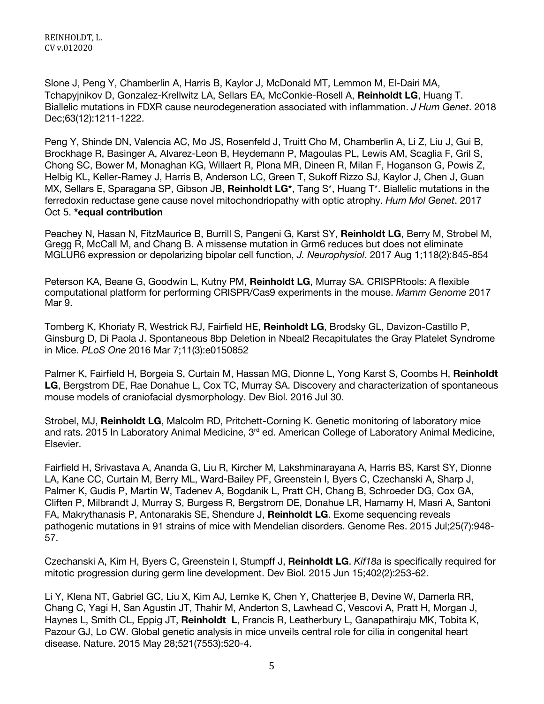Slone J, Peng Y, Chamberlin A, Harris B, Kaylor J, McDonald MT, Lemmon M, El-Dairi MA, Tchapyjnikov D, Gonzalez-Krellwitz LA, Sellars EA, McConkie-Rosell A, **Reinholdt LG**, Huang T. Biallelic mutations in FDXR cause neurodegeneration associated with inflammation. *J Hum Genet*. 2018 Dec;63(12):1211-1222.

Peng Y, Shinde DN, Valencia AC, Mo JS, Rosenfeld J, Truitt Cho M, Chamberlin A, Li Z, Liu J, Gui B, Brockhage R, Basinger A, Alvarez-Leon B, Heydemann P, Magoulas PL, Lewis AM, Scaglia F, Gril S, Chong SC, Bower M, Monaghan KG, Willaert R, Plona MR, Dineen R, Milan F, Hoganson G, Powis Z, Helbig KL, Keller-Ramey J, Harris B, Anderson LC, Green T, Sukoff Rizzo SJ, Kaylor J, Chen J, Guan MX, Sellars E, Sparagana SP, Gibson JB, **Reinholdt LG\***, Tang S\*, Huang T\*. Biallelic mutations in the ferredoxin reductase gene cause novel mitochondriopathy with optic atrophy. *Hum Mol Genet*. 2017 Oct 5. **\*equal contribution**

Peachey N, Hasan N, FitzMaurice B, Burrill S, Pangeni G, Karst SY, **Reinholdt LG**, Berry M, Strobel M, Gregg R, McCall M, and Chang B. A missense mutation in Grm6 reduces but does not eliminate MGLUR6 expression or depolarizing bipolar cell function, *J. Neurophysiol*. 2017 Aug 1;118(2):845-854

Peterson KA, Beane G, Goodwin L, Kutny PM, **Reinholdt LG**, Murray SA. CRISPRtools: A flexible computational platform for performing CRISPR/Cas9 experiments in the mouse. *Mamm Genome* 2017 Mar 9.

Tomberg K, Khoriaty R, Westrick RJ, Fairfield HE, **Reinholdt LG**, Brodsky GL, Davizon-Castillo P, Ginsburg D, Di Paola J. Spontaneous 8bp Deletion in Nbeal2 Recapitulates the Gray Platelet Syndrome in Mice. *PLoS One* 2016 Mar 7;11(3):e0150852

Palmer K, Fairfield H, Borgeia S, Curtain M, Hassan MG, Dionne L, Yong Karst S, Coombs H, **Reinholdt LG**, Bergstrom DE, Rae Donahue L, Cox TC, Murray SA. Discovery and characterization of spontaneous mouse models of craniofacial dysmorphology. Dev Biol. 2016 Jul 30.

Strobel, MJ, **Reinholdt LG**, Malcolm RD, Pritchett-Corning K. Genetic monitoring of laboratory mice and rats. 2015 In Laboratory Animal Medicine, 3<sup>rd</sup> ed. American College of Laboratory Animal Medicine, Elsevier.

Fairfield H, Srivastava A, Ananda G, Liu R, Kircher M, Lakshminarayana A, Harris BS, Karst SY, Dionne LA, Kane CC, Curtain M, Berry ML, Ward-Bailey PF, Greenstein I, Byers C, Czechanski A, Sharp J, Palmer K, Gudis P, Martin W, Tadenev A, Bogdanik L, Pratt CH, Chang B, Schroeder DG, Cox GA, Cliften P, Milbrandt J, Murray S, Burgess R, Bergstrom DE, Donahue LR, Hamamy H, Masri A, Santoni FA, Makrythanasis P, Antonarakis SE, Shendure J, **Reinholdt LG**. Exome sequencing reveals pathogenic mutations in 91 strains of mice with Mendelian disorders. Genome Res. 2015 Jul;25(7):948- 57.

Czechanski A, Kim H, Byers C, Greenstein I, Stumpff J, **Reinholdt LG**. *Kif18a* is specifically required for mitotic progression during germ line development. Dev Biol. 2015 Jun 15;402(2):253-62.

Li Y, Klena NT, Gabriel GC, Liu X, Kim AJ, Lemke K, Chen Y, Chatterjee B, Devine W, Damerla RR, Chang C, Yagi H, San Agustin JT, Thahir M, Anderton S, Lawhead C, Vescovi A, Pratt H, Morgan J, Haynes L, Smith CL, Eppig JT, **Reinholdt L**, Francis R, Leatherbury L, Ganapathiraju MK, Tobita K, Pazour GJ, Lo CW. Global genetic analysis in mice unveils central role for cilia in congenital heart disease. Nature. 2015 May 28;521(7553):520-4.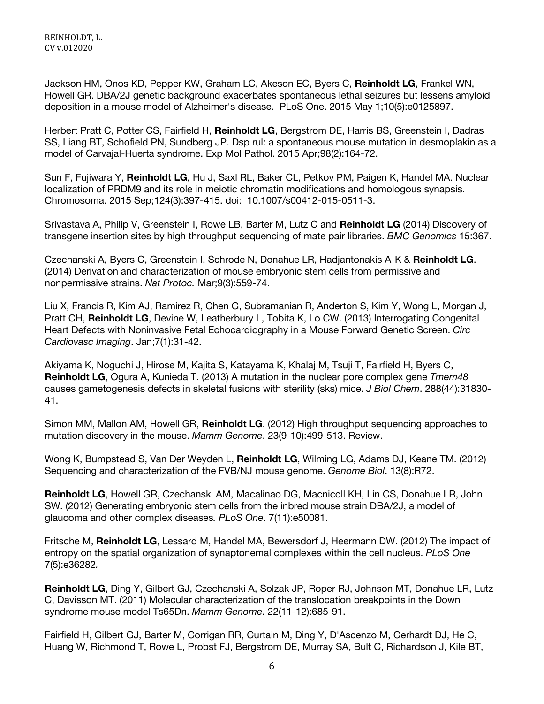Jackson HM, Onos KD, Pepper KW, Graham LC, Akeson EC, Byers C, **Reinholdt LG**, Frankel WN, Howell GR. DBA/2J genetic background exacerbates spontaneous lethal seizures but lessens amyloid deposition in a mouse model of Alzheimer's disease. PLoS One. 2015 May 1;10(5):e0125897.

Herbert Pratt C, Potter CS, Fairfield H, **Reinholdt LG**, Bergstrom DE, Harris BS, Greenstein I, Dadras SS, Liang BT, Schofield PN, Sundberg JP. Dsp rul: a spontaneous mouse mutation in desmoplakin as a model of Carvajal-Huerta syndrome. Exp Mol Pathol. 2015 Apr;98(2):164-72.

Sun F, Fujiwara Y, **Reinholdt LG**, Hu J, Saxl RL, Baker CL, Petkov PM, Paigen K, Handel MA. Nuclear localization of PRDM9 and its role in meiotic chromatin modifications and homologous synapsis. Chromosoma. 2015 Sep;124(3):397-415. doi: 10.1007/s00412-015-0511-3.

Srivastava A, Philip V, Greenstein I, Rowe LB, Barter M, Lutz C and **Reinholdt LG** (2014) Discovery of transgene insertion sites by high throughput sequencing of mate pair libraries. *BMC Genomics* 15:367.

Czechanski A, Byers C, Greenstein I, Schrode N, Donahue LR, Hadjantonakis A-K & **Reinholdt LG**. (2014) Derivation and characterization of mouse embryonic stem cells from permissive and nonpermissive strains. *Nat Protoc.* Mar;9(3):559-74.

Liu X, Francis R, Kim AJ, Ramirez R, Chen G, Subramanian R, Anderton S, Kim Y, Wong L, Morgan J, Pratt CH, **Reinholdt LG**, Devine W, Leatherbury L, Tobita K, Lo CW. (2013) Interrogating Congenital Heart Defects with Noninvasive Fetal Echocardiography in a Mouse Forward Genetic Screen. *Circ Cardiovasc Imaging*. Jan;7(1):31-42.

Akiyama K, Noguchi J, Hirose M, Kajita S, Katayama K, Khalaj M, Tsuji T, Fairfield H, Byers C, **Reinholdt LG**, Ogura A, Kunieda T. (2013) A mutation in the nuclear pore complex gene *Tmem48*  causes gametogenesis defects in skeletal fusions with sterility (sks) mice. *J Biol Chem*. 288(44):31830- 41.

Simon MM, Mallon AM, Howell GR, **Reinholdt LG**. (2012) High throughput sequencing approaches to mutation discovery in the mouse. *Mamm Genome*. 23(9-10):499-513. Review.

Wong K, Bumpstead S, Van Der Weyden L, **Reinholdt LG**, Wilming LG, Adams DJ, Keane TM. (2012) Sequencing and characterization of the FVB/NJ mouse genome. *Genome Biol*. 13(8):R72.

**Reinholdt LG**, Howell GR, Czechanski AM, Macalinao DG, Macnicoll KH, Lin CS, Donahue LR, John SW. (2012) Generating embryonic stem cells from the inbred mouse strain DBA/2J, a model of glaucoma and other complex diseases*. PLoS One*. 7(11):e50081.

Fritsche M, **Reinholdt LG**, Lessard M, Handel MA, Bewersdorf J, Heermann DW. (2012) The impact of entropy on the spatial organization of synaptonemal complexes within the cell nucleus. *PLoS One*  7(5):e36282*.* 

**Reinholdt LG**, Ding Y, Gilbert GJ, Czechanski A, Solzak JP, Roper RJ, Johnson MT, Donahue LR, Lutz C, Davisson MT. (2011) Molecular characterization of the translocation breakpoints in the Down syndrome mouse model Ts65Dn. *Mamm Genome*. 22(11-12):685-91.

Fairfield H, Gilbert GJ, Barter M, Corrigan RR, Curtain M, Ding Y, D'Ascenzo M, Gerhardt DJ, He C, Huang W, Richmond T, Rowe L, Probst FJ, Bergstrom DE, Murray SA, Bult C, Richardson J, Kile BT,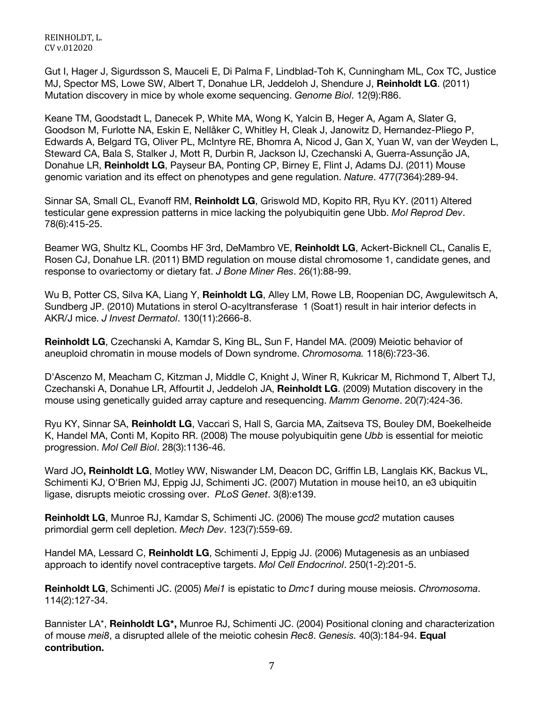Gut I, Hager J, Sigurdsson S, Mauceli E, Di Palma F, Lindblad-Toh K, Cunningham ML, Cox TC, Justice MJ, Spector MS, Lowe SW, Albert T, Donahue LR, Jeddeloh J, Shendure J, **Reinholdt LG**. (2011) Mutation discovery in mice by whole exome sequencing. *Genome Biol*. 12(9):R86.

Keane TM, Goodstadt L, Danecek P, White MA, Wong K, Yalcin B, Heger A, Agam A, Slater G, Goodson M, Furlotte NA, Eskin E, Nellåker C, Whitley H, Cleak J, Janowitz D, Hernandez-Pliego P, Edwards A, Belgard TG, Oliver PL, McIntyre RE, Bhomra A, Nicod J, Gan X, Yuan W, van der Weyden L, Steward CA, Bala S, Stalker J, Mott R, Durbin R, Jackson IJ, Czechanski A, Guerra-Assunção JA, Donahue LR, **Reinholdt LG**, Payseur BA, Ponting CP, Birney E, Flint J, Adams DJ. (2011) Mouse genomic variation and its effect on phenotypes and gene regulation. *Nature*. 477(7364):289-94.

Sinnar SA, Small CL, Evanoff RM, **Reinholdt LG**, Griswold MD, Kopito RR, Ryu KY. (2011) Altered testicular gene expression patterns in mice lacking the polyubiquitin gene Ubb. *Mol Reprod Dev*. 78(6):415-25.

Beamer WG, Shultz KL, Coombs HF 3rd, DeMambro VE, **Reinholdt LG**, Ackert-Bicknell CL, Canalis E, Rosen CJ, Donahue LR. (2011) BMD regulation on mouse distal chromosome 1, candidate genes, and response to ovariectomy or dietary fat. *J Bone Miner Res*. 26(1):88-99.

Wu B, Potter CS, Silva KA, Liang Y, **Reinholdt LG**, Alley LM, Rowe LB, Roopenian DC, Awgulewitsch A, Sundberg JP. (2010) Mutations in sterol O-acyltransferase 1 (Soat1) result in hair interior defects in AKR/J mice. *J Invest Dermatol*. 130(11):2666-8.

**Reinholdt LG**, Czechanski A, Kamdar S, King BL, Sun F, Handel MA. (2009) Meiotic behavior of aneuploid chromatin in mouse models of Down syndrome. *Chromosoma.* 118(6):723-36.

D'Ascenzo M, Meacham C, Kitzman J, Middle C, Knight J, Winer R, Kukricar M, Richmond T, Albert TJ, Czechanski A, Donahue LR, Affourtit J, Jeddeloh JA, **Reinholdt LG**. (2009) Mutation discovery in the mouse using genetically guided array capture and resequencing. *Mamm Genome*. 20(7):424-36.

Ryu KY, Sinnar SA, **Reinholdt LG**, Vaccari S, Hall S, Garcia MA, Zaitseva TS, Bouley DM, Boekelheide K, Handel MA, Conti M, Kopito RR. (2008) The mouse polyubiquitin gene *Ubb* is essential for meiotic progression. *Mol Cell Biol*. 28(3):1136-46.

Ward JO**, Reinholdt LG**, Motley WW, Niswander LM, Deacon DC, Griffin LB, Langlais KK, Backus VL, Schimenti KJ, O'Brien MJ, Eppig JJ, Schimenti JC. (2007) Mutation in mouse hei10, an e3 ubiquitin ligase, disrupts meiotic crossing over. *PLoS Genet*. 3(8):e139.

**Reinholdt LG**, Munroe RJ, Kamdar S, Schimenti JC. (2006) The mouse *gcd2* mutation causes primordial germ cell depletion. *Mech Dev*. 123(7):559-69.

Handel MA, Lessard C, **Reinholdt LG**, Schimenti J, Eppig JJ. (2006) Mutagenesis as an unbiased approach to identify novel contraceptive targets. *Mol Cell Endocrinol*. 250(1-2):201-5.

**Reinholdt LG**, Schimenti JC. (2005) *Mei1* is epistatic to *Dmc1* during mouse meiosis. *Chromosoma*. 114(2):127-34.

Bannister LA\*, **Reinholdt LG\*,** Munroe RJ, Schimenti JC. (2004) Positional cloning and characterization of mouse *mei8*, a disrupted allele of the meiotic cohesin *Rec8*. *Genesis.* 40(3):184-94. **Equal contribution.**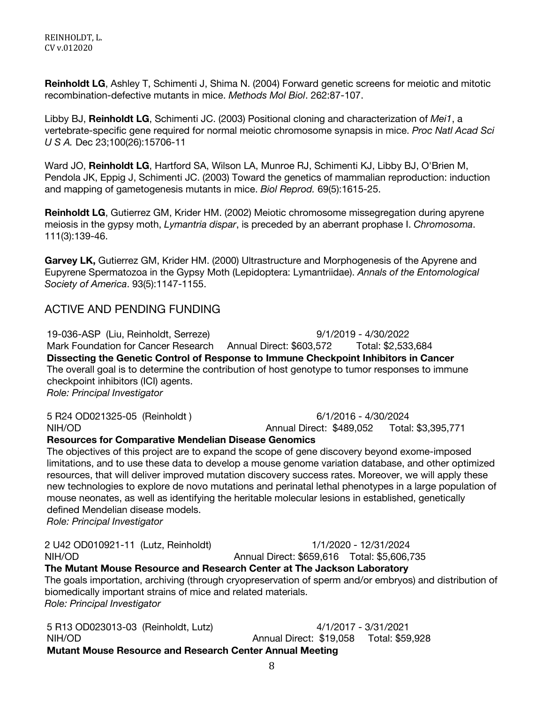**Reinholdt LG**, Ashley T, Schimenti J, Shima N. (2004) Forward genetic screens for meiotic and mitotic recombination-defective mutants in mice. *Methods Mol Biol*. 262:87-107.

Libby BJ, **Reinholdt LG**, Schimenti JC. (2003) Positional cloning and characterization of *Mei1*, a vertebrate-specific gene required for normal meiotic chromosome synapsis in mice. *Proc Natl Acad Sci U S A.* Dec 23;100(26):15706-11

Ward JO, **Reinholdt LG**, Hartford SA, Wilson LA, Munroe RJ, Schimenti KJ, Libby BJ, O'Brien M, Pendola JK, Eppig J, Schimenti JC. (2003) Toward the genetics of mammalian reproduction: induction and mapping of gametogenesis mutants in mice. *Biol Reprod.* 69(5):1615-25.

**Reinholdt LG**, Gutierrez GM, Krider HM. (2002) Meiotic chromosome missegregation during apyrene meiosis in the gypsy moth, *Lymantria dispar*, is preceded by an aberrant prophase I. *Chromosoma*. 111(3):139-46.

**Garvey LK,** Gutierrez GM, Krider HM. (2000) Ultrastructure and Morphogenesis of the Apyrene and Eupyrene Spermatozoa in the Gypsy Moth (Lepidoptera: Lymantriidae). *Annals of the Entomological Society of America*. 93(5):1147-1155.

### ACTIVE AND PENDING FUNDING

19-036-ASP (Liu, Reinholdt, Serreze) 9/1/2019 - 4/30/2022 Mark Foundation for Cancer Research Annual Direct: \$603,572 Total: \$2,533,684 **Dissecting the Genetic Control of Response to Immune Checkpoint Inhibitors in Cancer** The overall goal is to determine the contribution of host genotype to tumor responses to immune checkpoint inhibitors (ICI) agents. *Role: Principal Investigator*

5 R24 OD021325-05 (Reinholdt ) 6/1/2016 - 4/30/2024

NIH/OD Annual Direct: \$489,052 Total: \$3,395,771

**Resources for Comparative Mendelian Disease Genomics**

The objectives of this project are to expand the scope of gene discovery beyond exome-imposed limitations, and to use these data to develop a mouse genome variation database, and other optimized resources, that will deliver improved mutation discovery success rates. Moreover, we will apply these new technologies to explore de novo mutations and perinatal lethal phenotypes in a large population of mouse neonates, as well as identifying the heritable molecular lesions in established, genetically defined Mendelian disease models.

*Role: Principal Investigator*

2 U42 OD010921-11 (Lutz, Reinholdt) 1/1/2020 - 12/31/2024

NIH/OD Annual Direct: \$659,616 Total: \$5,606,735

**The Mutant Mouse Resource and Research Center at The Jackson Laboratory** The goals importation, archiving (through cryopreservation of sperm and/or embryos) and distribution of biomedically important strains of mice and related materials.

*Role: Principal Investigator*

5 R13 OD023013-03 (Reinholdt, Lutz) 4/1/2017 - 3/31/2021 NIH/OD Annual Direct: \$19,058 Total: \$59,928 **Mutant Mouse Resource and Research Center Annual Meeting**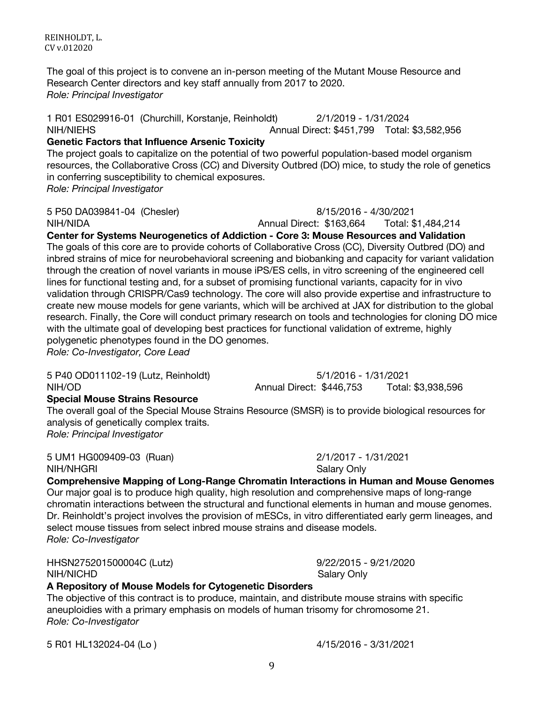REINHOLDT, L. CV v.012020

The goal of this project is to convene an in-person meeting of the Mutant Mouse Resource and Research Center directors and key staff annually from 2017 to 2020. *Role: Principal Investigator*

1 R01 ES029916-01 (Churchill, Korstanje, Reinholdt) 2/1/2019 - 1/31/2024 NIH/NIEHS Annual Direct: \$451,799 Total: \$3,582,956

#### **Genetic Factors that Influence Arsenic Toxicity**

The project goals to capitalize on the potential of two powerful population-based model organism resources, the Collaborative Cross (CC) and Diversity Outbred (DO) mice, to study the role of genetics in conferring susceptibility to chemical exposures. *Role: Principal Investigator*

5 P50 DA039841-04 (Chesler) 8/15/2016 - 4/30/2021 NIH/NIDA Annual Direct: \$163,664 Total: \$1,484,214

**Center for Systems Neurogenetics of Addiction - Core 3: Mouse Resources and Validation** The goals of this core are to provide cohorts of Collaborative Cross (CC), Diversity Outbred (DO) and inbred strains of mice for neurobehavioral screening and biobanking and capacity for variant validation through the creation of novel variants in mouse iPS/ES cells, in vitro screening of the engineered cell lines for functional testing and, for a subset of promising functional variants, capacity for in vivo validation through CRISPR/Cas9 technology. The core will also provide expertise and infrastructure to create new mouse models for gene variants, which will be archived at JAX for distribution to the global research. Finally, the Core will conduct primary research on tools and technologies for cloning DO mice with the ultimate goal of developing best practices for functional validation of extreme, highly polygenetic phenotypes found in the DO genomes.

*Role: Co-Investigator, Core Lead*

5 P40 OD011102-19 (Lutz, Reinholdt) 5/1/2016 - 1/31/2021

NIH/OD Annual Direct: \$446,753 Total: \$3,938,596

### **Special Mouse Strains Resource**

The overall goal of the Special Mouse Strains Resource (SMSR) is to provide biological resources for analysis of genetically complex traits. *Role: Principal Investigator*

5 UM1 HG009409-03 (Ruan) 2/1/2017 - 1/31/2021 NIH/NHGRI Salary Only

**Comprehensive Mapping of Long-Range Chromatin Interactions in Human and Mouse Genomes** Our major goal is to produce high quality, high resolution and comprehensive maps of long-range chromatin interactions between the structural and functional elements in human and mouse genomes. Dr. Reinholdt's project involves the provision of mESCs, in vitro differentiated early germ lineages, and select mouse tissues from select inbred mouse strains and disease models. *Role: Co-Investigator*

HHSN275201500004C (Lutz) 9/22/2015 - 9/21/2020 NIH/NICHD Salary Only

**A Repository of Mouse Models for Cytogenetic Disorders**

The objective of this contract is to produce, maintain, and distribute mouse strains with specific aneuploidies with a primary emphasis on models of human trisomy for chromosome 21. *Role: Co-Investigator*

5 R01 HL132024-04 (Lo ) 4/15/2016 - 3/31/2021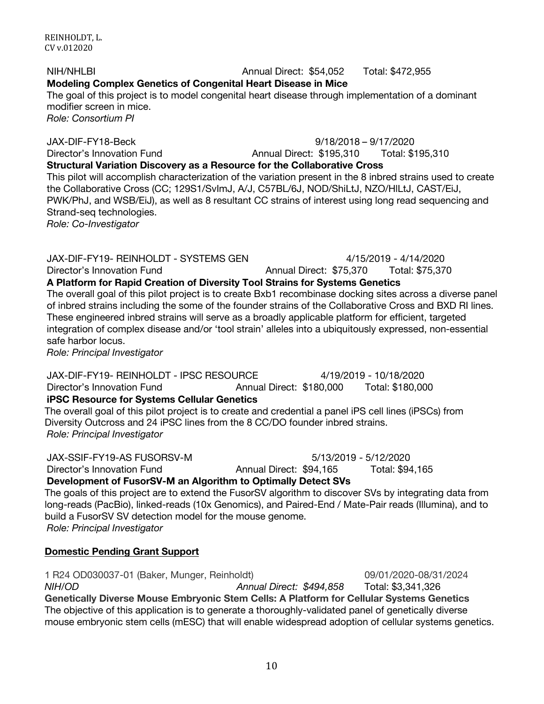NIH/NHLBI Annual Direct: \$54,052 Total: \$472,955 **Modeling Complex Genetics of Congenital Heart Disease in Mice** The goal of this project is to model congenital heart disease through implementation of a dominant modifier screen in mice. *Role: Consortium PI* JAX-DIF-FY18-Beck 9/18/2018 – 9/17/2020 Director's Innovation Fund Annual Direct: \$195,310 Total: \$195,310 **Structural Variation Discovery as a Resource for the Collaborative Cross** This pilot will accomplish characterization of the variation present in the 8 inbred strains used to create the Collaborative Cross (CC; 129S1/SvImJ, A/J, C57BL/6J, NOD/ShiLtJ, NZO/HlLtJ, CAST/EiJ, PWK/PhJ, and WSB/EiJ), as well as 8 resultant CC strains of interest using long read sequencing and Strand-seq technologies. *Role: Co-Investigator* JAX-DIF-FY19- REINHOLDT - SYSTEMS GEN 4/15/2019 - 4/14/2020 Director's Innovation Fund Annual Direct: \$75,370 Total: \$75,370 **A Platform for Rapid Creation of Diversity Tool Strains for Systems Genetics** The overall goal of this pilot project is to create Bxb1 recombinase docking sites across a diverse panel of inbred strains including the some of the founder strains of the Collaborative Cross and BXD RI lines. These engineered inbred strains will serve as a broadly applicable platform for efficient, targeted integration of complex disease and/or 'tool strain' alleles into a ubiquitously expressed, non-essential safe harbor locus. *Role: Principal Investigator* JAX-DIF-FY19- REINHOLDT - IPSC RESOURCE 4/19/2019 - 10/18/2020 Director's Innovation Fund Annual Direct: \$180,000 Total: \$180,000 **iPSC Resource for Systems Cellular Genetics** The overall goal of this pilot project is to create and credential a panel iPS cell lines (iPSCs) from Diversity Outcross and 24 iPSC lines from the 8 CC/DO founder inbred strains. *Role: Principal Investigator* JAX-SSIF-FY19-AS FUSORSV-M 5/13/2019 - 5/12/2020 Director's Innovation Fund Annual Direct: \$94,165 Total: \$94,165 **Development of FusorSV-M an Algorithm to Optimally Detect SVs** The goals of this project are to extend the FusorSV algorithm to discover SVs by integrating data from long-reads (PacBio), linked-reads (10x Genomics), and Paired-End / Mate-Pair reads (Illumina), and to build a FusorSV SV detection model for the mouse genome. *Role: Principal Investigator*

### **Domestic Pending Grant Support**

1 R24 OD030037-01 (Baker, Munger, Reinholdt) 09/01/2020-08/31/2024 *NIH/OD Annual Direct: \$494,858* Total: \$3,341,326 **Genetically Diverse Mouse Embryonic Stem Cells: A Platform for Cellular Systems Genetics** The objective of this application is to generate a thoroughly-validated panel of genetically diverse mouse embryonic stem cells (mESC) that will enable widespread adoption of cellular systems genetics.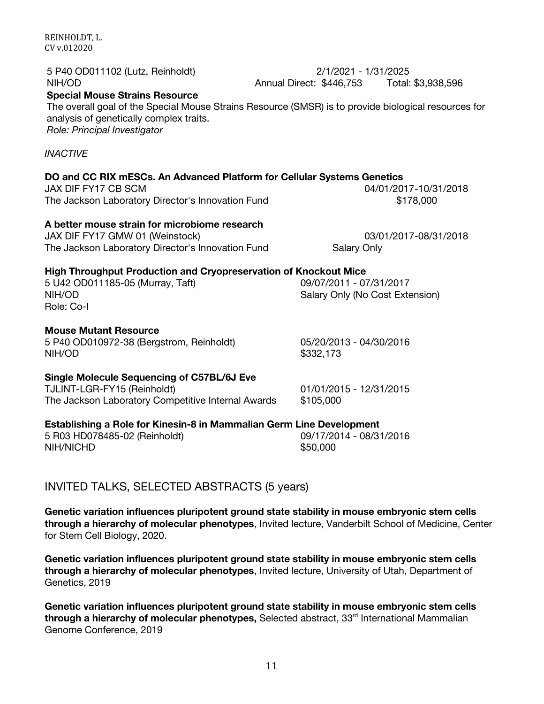| 5 P40 OD011102 (Lutz, Reinholdt)<br>NIH/OD<br><b>Special Mouse Strains Resource</b>                                                    | 2/1/2021 - 1/31/2025<br>Annual Direct: \$446,753 Total: \$3,938,596                                  |
|----------------------------------------------------------------------------------------------------------------------------------------|------------------------------------------------------------------------------------------------------|
| analysis of genetically complex traits.<br>Role: Principal Investigator                                                                | The overall goal of the Special Mouse Strains Resource (SMSR) is to provide biological resources for |
| <b>INACTIVE</b>                                                                                                                        |                                                                                                      |
| DO and CC RIX mESCs. An Advanced Platform for Cellular Systems Genetics                                                                |                                                                                                      |
| JAX DIF FY17 CB SCM<br>The Jackson Laboratory Director's Innovation Fund                                                               | 04/01/2017-10/31/2018<br>\$178,000                                                                   |
| A better mouse strain for microbiome research<br>JAX DIF FY17 GMW 01 (Weinstock)                                                       | 03/01/2017-08/31/2018                                                                                |
| The Jackson Laboratory Director's Innovation Fund                                                                                      | Salary Only                                                                                          |
| <b>High Throughput Production and Cryopreservation of Knockout Mice</b>                                                                |                                                                                                      |
| 5 U42 OD011185-05 (Murray, Taft)<br>NIH/OD<br>Role: Co-I                                                                               | 09/07/2011 - 07/31/2017<br>Salary Only (No Cost Extension)                                           |
| <b>Mouse Mutant Resource</b><br>5 P40 OD010972-38 (Bergstrom, Reinholdt)<br>NIH/OD                                                     | 05/20/2013 - 04/30/2016<br>\$332,173                                                                 |
| <b>Single Molecule Sequencing of C57BL/6J Eve</b><br>TJLINT-LGR-FY15 (Reinholdt)<br>The Jackson Laboratory Competitive Internal Awards | 01/01/2015 - 12/31/2015<br>\$105,000                                                                 |
| Establishing a Role for Kinesin-8 in Mammalian Germ Line Development                                                                   |                                                                                                      |
| 5 R03 HD078485-02 (Reinholdt)<br>NIH/NICHD                                                                                             | 09/17/2014 - 08/31/2016<br>\$50,000                                                                  |

### INVITED TALKS, SELECTED ABSTRACTS (5 years)

REINHOLDT, L. CV v.012020

**Genetic variation influences pluripotent ground state stability in mouse embryonic stem cells through a hierarchy of molecular phenotypes**, Invited lecture, Vanderbilt School of Medicine, Center for Stem Cell Biology, 2020.

**Genetic variation influences pluripotent ground state stability in mouse embryonic stem cells through a hierarchy of molecular phenotypes**, Invited lecture, University of Utah, Department of Genetics, 2019

**Genetic variation influences pluripotent ground state stability in mouse embryonic stem cells**  through a hierarchy of molecular phenotypes, Selected abstract, 33<sup>rd</sup> International Mammalian Genome Conference, 2019